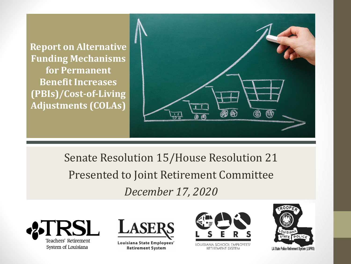**Report on Alternative Funding Mechanisms for Permanent Benefit Increases (PBIs)/Cost-of-Living Adjustments (COLAs)**

**Title here**



Senate Resolution 15/House Resolution 21 Presented to Joint Retirement Committee *December 17, 2020*





Louisiana State Employees' **Retirement System** 



LOUISIANA SCHOOL EMPLOYEES' RETIREMENT SYSTEM

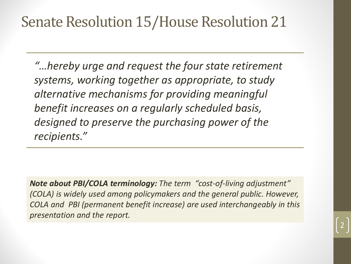### **Senate Resolution 15/House Resolution 21**

*"…hereby urge and request the four state retirement systems, working together as appropriate, to study alternative mechanisms for providing meaningful benefit increases on a regularly scheduled basis, designed to preserve the purchasing power of the recipients."*

*Note about PBI/COLA terminology: The term "cost-of-living adjustment" (COLA) is widely used among policymakers and the general public. However, COLA and PBI (permanent benefit increase) are used interchangeably in this presentation and the report.*

2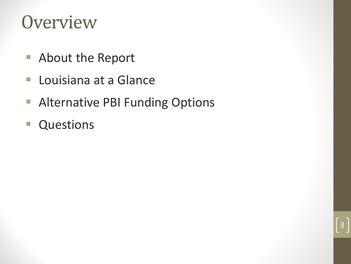### **Overview**

- About the Report
- **Louisiana at a Glance**
- **Alternative PBI Funding Options**

3

**Questions**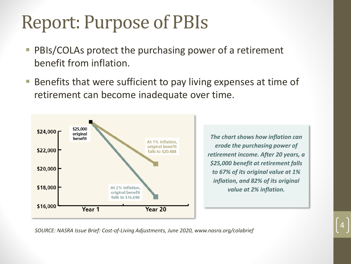### **Report: Purpose of PBIs**

- **PBIS/COLAs protect the purchasing power of a retirement** benefit from inflation.
- Benefits that were sufficient to pay living expenses at time of retirement can become inadequate over time.



*The chart shows how inflation can erode the purchasing power of retirement income. After 20 years, a \$25,000 benefit at retirement falls to 67% of its original value at 1% inflation, and 82% of its original value at 2% inflation.*

4

*SOURCE: NASRA Issue Brief: Cost-of-Living Adjustments, June 2020, www.nasra.org/colabrief*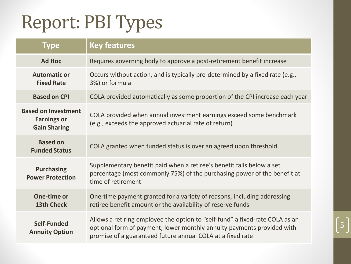## Report: PBI Types

| <b>Type</b>                                                             | <b>Key features</b>                                                                                                                                                                                                  |  |  |  |
|-------------------------------------------------------------------------|----------------------------------------------------------------------------------------------------------------------------------------------------------------------------------------------------------------------|--|--|--|
| <b>Ad Hoc</b>                                                           | Requires governing body to approve a post-retirement benefit increase                                                                                                                                                |  |  |  |
| <b>Automatic or</b><br><b>Fixed Rate</b>                                | Occurs without action, and is typically pre-determined by a fixed rate (e.g.,<br>3%) or formula                                                                                                                      |  |  |  |
| <b>Based on CPI</b>                                                     | COLA provided automatically as some proportion of the CPI increase each year                                                                                                                                         |  |  |  |
| <b>Based on Investment</b><br><b>Earnings or</b><br><b>Gain Sharing</b> | COLA provided when annual investment earnings exceed some benchmark<br>(e.g., exceeds the approved actuarial rate of return)                                                                                         |  |  |  |
| <b>Based on</b><br><b>Funded Status</b>                                 | COLA granted when funded status is over an agreed upon threshold                                                                                                                                                     |  |  |  |
| <b>Purchasing</b><br><b>Power Protection</b>                            | Supplementary benefit paid when a retiree's benefit falls below a set<br>percentage (most commonly 75%) of the purchasing power of the benefit at<br>time of retirement                                              |  |  |  |
| One-time or<br><b>13th Check</b>                                        | One-time payment granted for a variety of reasons, including addressing<br>retiree benefit amount or the availability of reserve funds                                                                               |  |  |  |
| Self-Funded<br><b>Annuity Option</b>                                    | Allows a retiring employee the option to "self-fund" a fixed-rate COLA as an<br>optional form of payment; lower monthly annuity payments provided with<br>promise of a guaranteed future annual COLA at a fixed rate |  |  |  |

5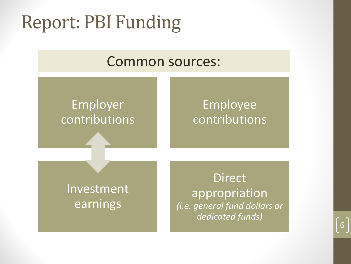## **Report: PBI Funding**

### Common sources:

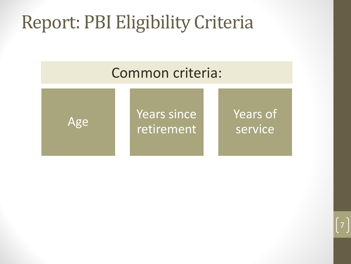### **Report: PBI Eligibility Criteria**





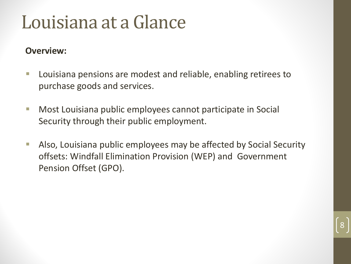### Louisiana at a Glance

#### **Overview:**

- Louisiana pensions are modest and reliable, enabling retirees to purchase goods and services.
- **Most Louisiana public employees cannot participate in Social** Security through their public employment.
- **Also, Louisiana public employees may be affected by Social Security** offsets: Windfall Elimination Provision (WEP) and Government Pension Offset (GPO).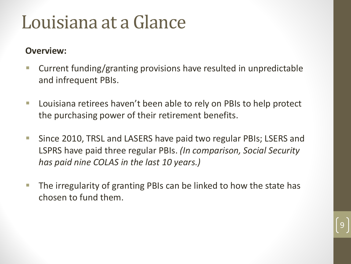### Louisiana at a Glance

#### **Overview:**

- Current funding/granting provisions have resulted in unpredictable and infrequent PBIs.
- Louisiana retirees haven't been able to rely on PBIs to help protect the purchasing power of their retirement benefits.
- Since 2010, TRSL and LASERS have paid two regular PBIs; LSERS and LSPRS have paid three regular PBIs. *(In comparison, Social Security has paid nine COLAS in the last 10 years.)*
- $\blacksquare$  The irregularity of granting PBIs can be linked to how the state has chosen to fund them.

9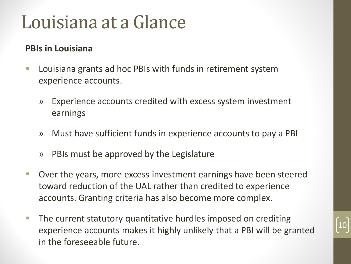### Louisiana at a Glance

#### **PBIs in Louisiana**

- Louisiana grants ad hoc PBIs with funds in retirement system experience accounts.
	- » Experience accounts credited with excess system investment earnings
	- » Must have sufficient funds in experience accounts to pay a PBI
	- » PBIs must be approved by the Legislature
- Over the years, more excess investment earnings have been steered toward reduction of the UAL rather than credited to experience accounts. Granting criteria has also become more complex.
- **The current statutory quantitative hurdles imposed on crediting** experience accounts makes it highly unlikely that a PBI will be granted in the foreseeable future.

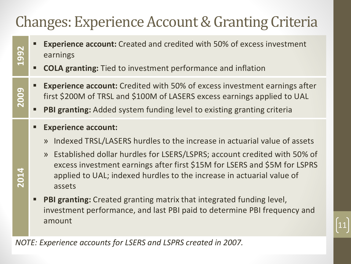### **Changes: Experience Account & Granting Criteria**

- **Experience account:** Created and credited with 50% of excess investment earnings
- **COLA granting:** Tied to investment performance and inflation
- **Experience account:** Credited with 50% of excess investment earnings after first \$200M of TRSL and \$100M of LASERS excess earnings applied to UAL
- **PBI granting:** Added system funding level to existing granting criteria
- **Experience account:**

**1992**

**2009**

**2014**

- » Indexed TRSL/LASERS hurdles to the increase in actuarial value of assets
- » Established dollar hurdles for LSERS/LSPRS; account credited with 50% of excess investment earnings after first \$15M for LSERS and \$5M for LSPRS applied to UAL; indexed hurdles to the increase in actuarial value of assets
- **PBI granting:** Created granting matrix that integrated funding level, investment performance, and last PBI paid to determine PBI frequency and amount

11

*NOTE: Experience accounts for LSERS and LSPRS created in 2007.*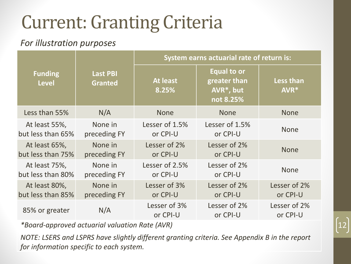## **Current: Granting Criteria**

#### *For illustration purposes*

| <b>Funding</b><br><b>Level</b> | <b>Last PBI</b><br><b>Granted</b> | System earns actuarial rate of return is: |                                                                           |                          |  |
|--------------------------------|-----------------------------------|-------------------------------------------|---------------------------------------------------------------------------|--------------------------|--|
|                                |                                   | <b>At least</b><br>8.25%                  | <b>Equal to or</b><br>greater than<br>AVR <sup>*</sup> , but<br>not 8.25% | Less than<br>AVR*        |  |
| Less than 55%                  | N/A                               | <b>None</b>                               | <b>None</b>                                                               | <b>None</b>              |  |
| At least 55%,                  | None in                           | Lesser of 1.5%                            | Lesser of 1.5%                                                            | <b>None</b>              |  |
| but less than 65%              | preceding FY                      | or CPI-U                                  | or CPI-U                                                                  |                          |  |
| At least 65%,                  | None in                           | Lesser of 2%                              | Lesser of 2%                                                              | <b>None</b>              |  |
| but less than 75%              | preceding FY                      | or CPI-U                                  | or CPI-U                                                                  |                          |  |
| At least 75%,                  | None in                           | Lesser of 2.5%                            | Lesser of 2%                                                              | <b>None</b>              |  |
| but less than 80%              | preceding FY                      | or CPI-U                                  | or CPI-U                                                                  |                          |  |
| At least 80%,                  | None in                           | Lesser of 3%                              | Lesser of 2%                                                              | Lesser of 2%             |  |
| but less than 85%              | preceding FY                      | or CPI-U                                  | or CPI-U                                                                  | or CPI-U                 |  |
| 85% or greater                 | N/A                               | Lesser of 3%<br>or CPI-U                  | Lesser of 2%<br>or CPI-U                                                  | Lesser of 2%<br>or CPI-U |  |

*\*Board-approved actuarial valuation Rate (AVR)*

*NOTE: LSERS and LSPRS have slightly different granting criteria. See Appendix B in the report for information specific to each system.*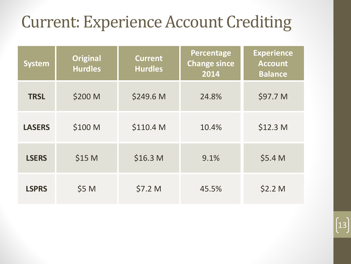### **Current: Experience Account Crediting**

| <b>System</b> | <b>Original</b><br><b>Hurdles</b> | <b>Current</b><br><b>Hurdles</b> | Percentage<br><b>Change since</b><br>2014 | <b>Experience</b><br><b>Account</b><br><b>Balance</b> |
|---------------|-----------------------------------|----------------------------------|-------------------------------------------|-------------------------------------------------------|
| <b>TRSL</b>   | \$200 M                           | \$249.6 M                        | 24.8%                                     | \$97.7 M                                              |
| <b>LASERS</b> | \$100 M                           | \$110.4 M                        | 10.4%                                     | \$12.3 <sub>M</sub>                                   |
| <b>LSERS</b>  | \$15 M                            | \$16.3 <sub>M</sub>              | 9.1%                                      | \$5.4 M                                               |
| <b>LSPRS</b>  | \$5 M                             | \$7.2 M                          | 45.5%                                     | \$2.2 <sub>M</sub>                                    |

13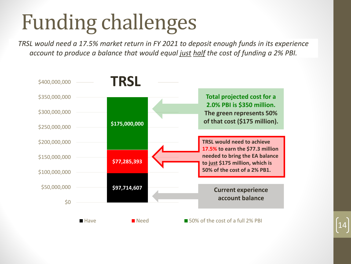*TRSL would need a 17.5% market return in FY 2021 to deposit enough funds in its experience account to produce a balance that would equal just half the cost of funding a 2% PBI.*

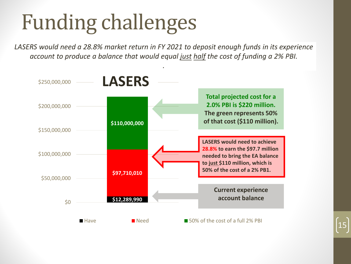*LASERS would need a 28.8% market return in FY 2021 to deposit enough funds in its experience account to produce a balance that would equal just half the cost of funding a 2% PBI.*

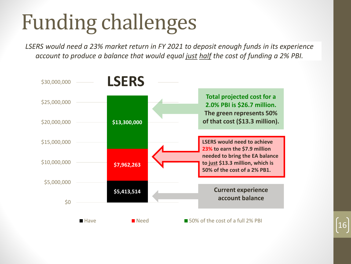*LSERS would need a 23% market return in FY 2021 to deposit enough funds in its experience account to produce a balance that would equal just half the cost of funding a 2% PBI.*

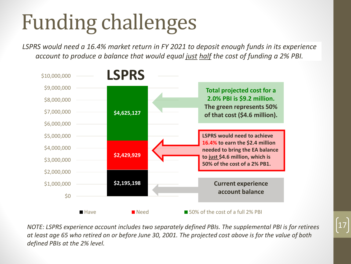*LSPRS would need a 16.4% market return in FY 2021 to deposit enough funds in its experience account to produce a balance that would equal just half the cost of funding a 2% PBI.*



*NOTE: LSPRS experience account includes two separately defined PBIs. The supplemental PBI is for retirees at least age 65 who retired on or before June 30, 2001. The projected cost above is for the value of both defined PBIs at the 2% level.*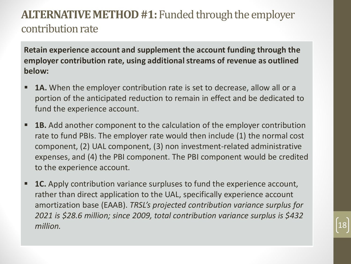### **ALTERNATIVE METHOD #1: Funded through the employer** contribution rate

**Retain experience account and supplement the account funding through the employer contribution rate, using additional streams of revenue as outlined below:**

- **1A.** When the employer contribution rate is set to decrease, allow all or a portion of the anticipated reduction to remain in effect and be dedicated to fund the experience account.
- **1B.** Add another component to the calculation of the employer contribution rate to fund PBIs. The employer rate would then include (1) the normal cost component, (2) UAL component, (3) non investment-related administrative expenses, and (4) the PBI component. The PBI component would be credited to the experience account.
- **1C.** Apply contribution variance surpluses to fund the experience account, rather than direct application to the UAL, specifically experience account amortization base (EAAB). *TRSL's projected contribution variance surplus for 2021 is \$28.6 million; since 2009, total contribution variance surplus is \$432 million.* 18

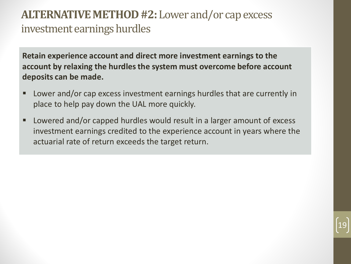### **ALTERNATIVE METHOD #2:** Lower and/or cap excess investment earnings hurdles

**Retain experience account and direct more investment earnings to the account by relaxing the hurdles the system must overcome before account deposits can be made.** 

- Lower and/or cap excess investment earnings hurdles that are currently in place to help pay down the UAL more quickly.
- Lowered and/or capped hurdles would result in a larger amount of excess investment earnings credited to the experience account in years where the actuarial rate of return exceeds the target return.

19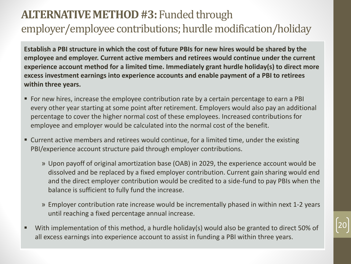### **ALTERNATIVE METHOD #3: Funded through** employer/employee contributions; hurdle modification/holiday

**Establish a PBI structure in which the cost of future PBIs for new hires would be shared by the employee and employer. Current active members and retirees would continue under the current experience account method for a limited time. Immediately grant hurdle holiday(s) to direct more excess investment earnings into experience accounts and enable payment of a PBI to retirees within three years.**

- For new hires, increase the employee contribution rate by a certain percentage to earn a PBI every other year starting at some point after retirement. Employers would also pay an additional percentage to cover the higher normal cost of these employees. Increased contributions for employee and employer would be calculated into the normal cost of the benefit.
- Current active members and retirees would continue, for a limited time, under the existing PBI/experience account structure paid through employer contributions.
	- » Upon payoff of original amortization base (OAB) in 2029, the experience account would be dissolved and be replaced by a fixed employer contribution. Current gain sharing would end and the direct employer contribution would be credited to a side-fund to pay PBIs when the balance is sufficient to fully fund the increase.
	- » Employer contribution rate increase would be incrementally phased in within next 1-2 years until reaching a fixed percentage annual increase.
- With implementation of this method, a hurdle holiday(s) would also be granted to direct 50% of all excess earnings into experience account to assist in funding a PBI within three years.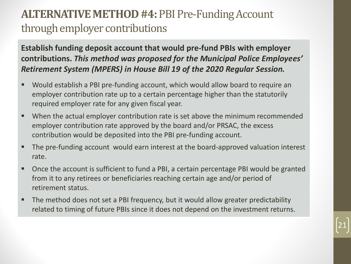### **ALTERNATIVE METHOD #4: PBI Pre-Funding Account** through employer contributions

**Establish funding deposit account that would pre-fund PBIs with employer contributions.** *This method was proposed for the Municipal Police Employees' Retirement System (MPERS) in House Bill 19 of the 2020 Regular Session.*

- Would establish a PBI pre-funding account, which would allow board to require an employer contribution rate up to a certain percentage higher than the statutorily required employer rate for any given fiscal year.
- When the actual employer contribution rate is set above the minimum recommended employer contribution rate approved by the board and/or PRSAC, the excess contribution would be deposited into the PBI pre-funding account.
- The pre-funding account would earn interest at the board-approved valuation interest rate.
- Once the account is sufficient to fund a PBI, a certain percentage PBI would be granted from it to any retirees or beneficiaries reaching certain age and/or period of retirement status.

21

 The method does not set a PBI frequency, but it would allow greater predictability related to timing of future PBIs since it does not depend on the investment returns.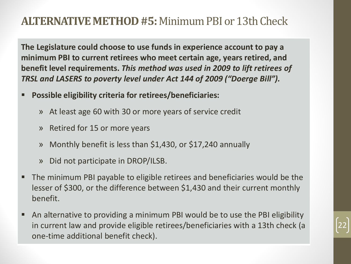### **ALTERNATIVE METHOD #5: Minimum PBI or 13th Check**

**The Legislature could choose to use funds in experience account to pay a minimum PBI to current retirees who meet certain age, years retired, and benefit level requirements.** *This method was used in 2009 to lift retirees of TRSL and LASERS to poverty level under Act 144 of 2009 ("Doerge Bill").*

- **Possible eligibility criteria for retirees/beneficiaries:**
	- » At least age 60 with 30 or more years of service credit
	- » Retired for 15 or more years
	- » Monthly benefit is less than \$1,430, or \$17,240 annually
	- » Did not participate in DROP/ILSB.
- The minimum PBI payable to eligible retirees and beneficiaries would be the lesser of \$300, or the difference between \$1,430 and their current monthly benefit.
- An alternative to providing a minimum PBI would be to use the PBI eligibility in current law and provide eligible retirees/beneficiaries with a 13th check (a one-time additional benefit check).